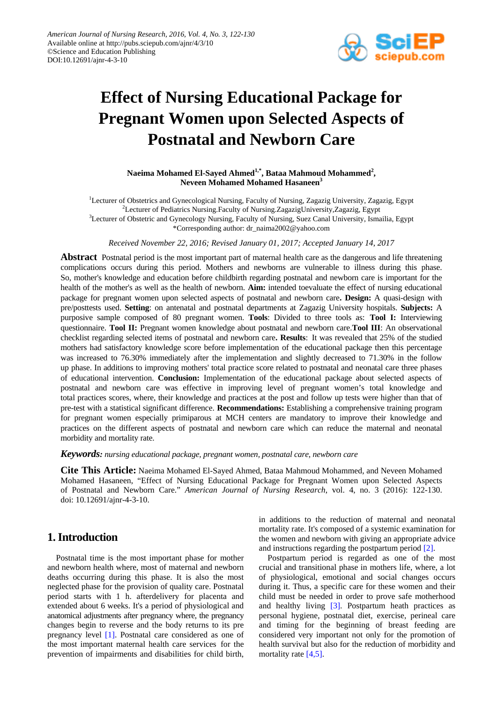

# **Effect of Nursing Educational Package for Pregnant Women upon Selected Aspects of Postnatal and Newborn Care**

Naeima Mohamed El-Sayed Ahmed<sup>1,\*</sup>, Bataa Mahmoud Mohammed<sup>2</sup>, **Neveen Mohamed Mohamed Hasaneen<sup>3</sup>**

<sup>1</sup>Lecturer of Obstetrics and Gynecological Nursing, Faculty of Nursing, Zagazig University, Zagazig, Egypt 2 Lecturer of Pediatrics Nursing.Faculty of Nursing.ZagazigUniversity,Zagazig, Egypt <sup>3</sup>Lecturer of Obstetric and Gynecology Nursing, Faculty of Nursing, Suez Canal University, Ismailia, Egypt \*Corresponding author: dr\_naima2002@yahoo.com

*Receive[d November](javascript:;) 22, 2016; Revised January 01, 2017; Accepted January 14, 2017*

**Abstract** Postnatal period is the most important part of maternal health care as the dangerous and life threatening complications occurs during this period. Mothers and newborns are vulnerable to illness during this phase. So, mother's knowledge and education before childbirth regarding postnatal and newborn care is important for the health of the mother's as well as the health of newborn. **Aim:** intended toevaluate the effect of nursing educational package for pregnant women upon selected aspects of postnatal and newborn care**. Design:** A quasi-design with pre/posttests used. **Setting**: on antenatal and postnatal departments at Zagazig University hospitals. **Subjects:** A purposive sample composed of 80 pregnant women. **Tools**: Divided to three tools as: **Tool I:** Interviewing questionnaire. **Tool II:** Pregnant women knowledge about postnatal and newborn care.**Tool III**: An observational checklist regarding selected items of postnatal and newborn care**. Results**: It was revealed that 25% of the studied mothers had satisfactory knowledge score before implementation of the educational package then this percentage was increased to 76.30% immediately after the implementation and slightly decreased to 71.30% in the follow up phase. In additions to improving mothers' total practice score related to postnatal and neonatal care three phases of educational intervention. **Conclusion:** Implementation of the educational package about selected aspects of postnatal and newborn care was effective in improving level of pregnant women's total knowledge and total practices scores, where, their knowledge and practices at the post and follow up tests were higher than that of pre-test with a statistical significant difference. **Recommendations:** Establishing a comprehensive training program for pregnant women especially primiparous at MCH centers are mandatory to improve their knowledge and practices on the different aspects of postnatal and newborn care which can reduce the maternal and neonatal morbidity and mortality rate.

*Keywords: nursing educational package, pregnant women, postnatal care, newborn care*

**Cite This Article:** Naeima Mohamed El-Sayed Ahmed, Bataa Mahmoud Mohammed, and Neveen Mohamed Mohamed Hasaneen, "Effect of Nursing Educational Package for Pregnant Women upon Selected Aspects of Postnatal and Newborn Care." *American Journal of Nursing Research*, vol. 4, no. 3 (2016): 122-130. doi: 10.12691/ajnr-4-3-10.

# **1. Introduction**

Postnatal time is the most important phase for mother and newborn health where, most of maternal and newborn deaths occurring during this phase. It is also the most neglected phase for the provision of quality care. Postnatal period starts with 1 h. afterdelivery for placenta and extended about 6 weeks. It's a period of physiological and anatomical adjustments after pregnancy where, the pregnancy changes begin to reverse and the body returns to its pre pregnancy level [\[1\].](#page-7-0) Postnatal care considered as one of the most important maternal health care services for the prevention of impairments and disabilities for child birth, in additions to the reduction of maternal and neonatal mortality rate. It's composed of a systemic examination for the women and newborn with giving an appropriate advice and instructions regarding the postpartum period [\[2\].](#page-7-1)

Postpartum period is regarded as one of the most crucial and transitional phase in mothers life, where, a lot of physiological, emotional and social changes occurs during it. Thus, a specific care for these women and their child must be needed in order to prove safe motherhood and healthy living [\[3\].](#page-7-2) Postpartum heath practices as personal hygiene, postnatal diet, exercise, perineal care and timing for the beginning of breast feeding are considered very important not only for the promotion of health survival but also for the reduction of morbidity and mortality rate [\[4,5\].](#page-7-3)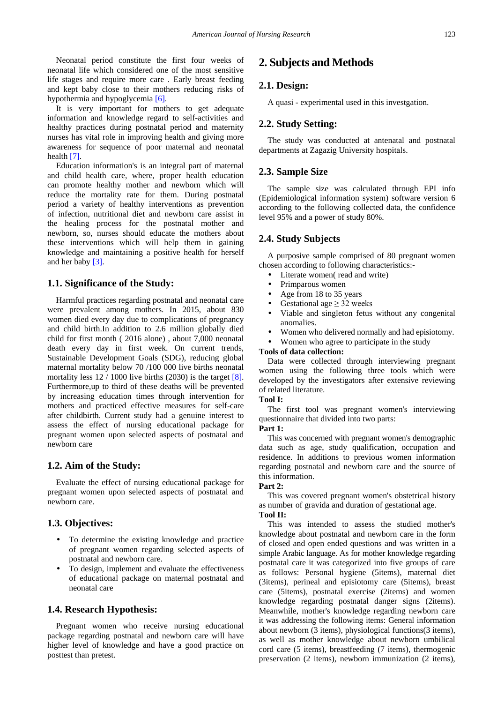Neonatal period constitute the first four weeks of neonatal life which considered one of the most sensitive life stages and require more care . Early breast feeding and kept baby close to their mothers reducing risks of hypothermia and hypoglycemia [\[6\].](#page-7-4)

It is very important for mothers to get adequate information and knowledge regard to self-activities and healthy practices during postnatal period and maternity nurses has vital role in improving health and giving more awareness for sequence of poor maternal and neonatal healt[h \[7\].](#page-7-5)

Education information's is an integral part of maternal and child health care, where, proper health education can promote healthy mother and newborn which will reduce the mortality rate for them. During postnatal period a variety of healthy interventions as prevention of infection, nutritional diet and newborn care assist in the healing process for the postnatal mother and newborn, so, nurses should educate the mothers about these interventions which will help them in gaining knowledge and maintaining a positive health for herself and her baby [\[3\].](#page-7-2)

#### **1.1. Significance of the Study:**

Harmful practices regarding postnatal and neonatal care were prevalent among mothers. In 2015, about 830 women died every day due to complications of pregnancy and child birth.In addition to 2.6 million globally died child for first month ( 2016 alone) , about 7,000 neonatal death every day in first week. On current trends, Sustainable Development Goals (SDG), reducing global maternal mortality below 70 /100 000 live births neonatal mortality less  $12 / 1000$  live births (2030) is the target [\[8\].](#page-7-6) Furthermore,up to third of these deaths will be prevented by increasing education times through intervention for mothers and practiced effective measures for self-care after childbirth. Current study had a genuine interest to assess the effect of nursing educational package for pregnant women upon selected aspects of postnatal and newborn care

#### **1.2. Aim of the Study:**

Evaluate the effect of nursing educational package for pregnant women upon selected aspects of postnatal and newborn care.

#### **1.3. Objectives:**

- To determine the existing knowledge and practice of pregnant women regarding selected aspects of postnatal and newborn care.
- To design, implement and evaluate the effectiveness of educational package on maternal postnatal and neonatal care

## **1.4. Research Hypothesis:**

Pregnant women who receive nursing educational package regarding postnatal and newborn care will have higher level of knowledge and have a good practice on posttest than pretest.

# **2. Subjects and Methods**

#### **2.1. Design:**

A quasi - experimental used in this investgation.

#### **2.2. Study Setting:**

The study was conducted at antenatal and postnatal departments at Zagazig University hospitals.

#### **2.3. Sample Size**

The sample size was calculated through EPI info (Epidemiological information system) software version 6 according to the following collected data, the confidence level 95% and a power of study 80%.

#### **2.4. Study Subjects**

A purposive sample comprised of 80 pregnant women chosen according to following characteristics:-

- Literate women(read and write)
- Primparous women
- Age from 18 to 35 years
- Gestational age  $\geq$  32 weeks
- Viable and singleton fetus without any congenital anomalies.
- Women who delivered normally and had episiotomy.
- Women who agree to participate in the study

#### **Tools of data collection:**

Data were collected through interviewing pregnant women using the following three tools which were developed by the investigators after extensive reviewing of related literature.

#### **Tool I:**

The first tool was pregnant women's interviewing questionnaire that divided into two parts:

#### **Part 1:**

This was concerned with pregnant women's demographic data such as age, study qualification, occupation and residence. In additions to previous women information regarding postnatal and newborn care and the source of this information.

#### **Part 2:**

This was covered pregnant women's obstetrical history as number of gravida and duration of gestational age. **Tool II:**

This was intended to assess the studied mother's knowledge about postnatal and newborn care in the form of closed and open ended questions and was written in a simple Arabic language. As for mother knowledge regarding postnatal care it was categorized into five groups of care as follows: Personal hygiene (5items), maternal diet (3items), perineal and episiotomy care (5items), breast care (5items), postnatal exercise (2items) and women knowledge regarding postnatal danger signs (2items). Meanwhile, mother's knowledge regarding newborn care it was addressing the following items: General information about newborn (3 items), physiological functions(3 items), as well as mother knowledge about newborn umbilical cord care (5 items), breastfeeding (7 items), thermogenic preservation (2 items), newborn immunization (2 items),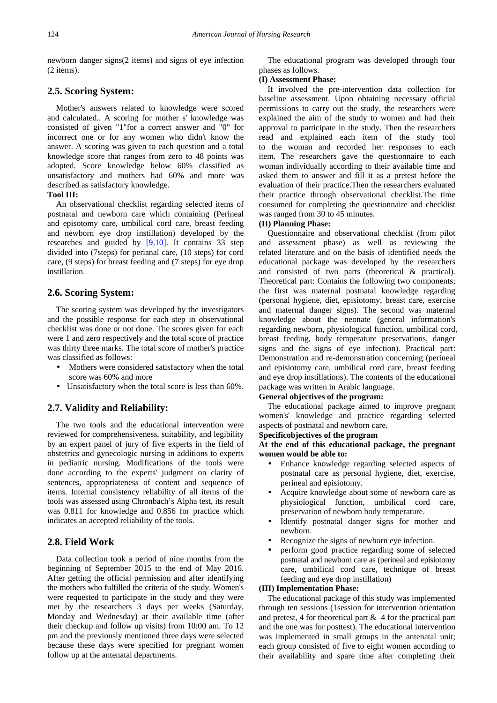newborn danger signs(2 items) and signs of eye infection (2 items).

#### **2.5. Scoring System:**

Mother's answers related to knowledge were scored and calculated.. A scoring for mother s' knowledge was consisted of given "1"for a correct answer and "0" for incorrect one or for any women who didn't know the answer. A scoring was given to each question and a total knowledge score that ranges from zero to 48 points was adopted. Score knowledge below 60% classified as unsatisfactory and mothers had 60% and more was described as satisfactory knowledge.

#### **Tool III:**

An observational checklist regarding selected items of postnatal and newborn care which containing (Perineal and episotomy care, umbilical cord care, breast feeding and newborn eye drop instillation) developed by the researches and guided by [\[9,10\].](#page-7-7) It contains 33 step divided into (7steps) for perianal care, (10 steps) for cord care, (9 steps) for breast feeding and (7 steps) for eye drop instillation.

#### **2.6. Scoring System:**

The scoring system was developed by the investigators and the possible response for each step in observational checklist was done or not done. The scores given for each were 1 and zero respectively and the total score of practice was thirty three marks. The total score of mother's practice was classified as follows:

- Mothers were considered satisfactory when the total score was 60% and more
- Unsatisfactory when the total score is less than 60%.

#### **2.7. Validity and Reliability:**

The two tools and the educational intervention were reviewed for comprehensiveness, suitability, and legibility by an expert panel of jury of five experts in the field of obstetrics and gynecologic nursing in additions to experts in pediatric nursing. Modifications of the tools were done according to the experts' judgment on clarity of sentences, appropriateness of content and sequence of items. Internal consistency reliability of all items of the tools was assessed using Chronbach's Alpha test, its result was 0.811 for knowledge and 0.856 for practice which indicates an accepted reliability of the tools.

#### **2.8. Field Work**

Data collection took a period of nine months from the beginning of September 2015 to the end of May 2016. After getting the official permission and after identifying the mothers who fulfilled the criteria of the study. Women's were requested to participate in the study and they were met by the researchers 3 days per weeks (Saturday, Monday and Wednesday) at their available time (after their checkup and follow up visits) from 10:00 am. To 12 pm and the previously mentioned three days were selected because these days were specified for pregnant women follow up at the antenatal departments.

The educational program was developed through four phases as follows.

#### **(I) Assessment Phase:**

It involved the pre-intervention data collection for baseline assessment. Upon obtaining necessary official permissions to carry out the study, the researchers were explained the aim of the study to women and had their approval to participate in the study. Then the researchers read and explained each item of the study tool to the woman and recorded her responses to each item. The researchers gave the questionnaire to each woman individually according to their available time and asked them to answer and fill it as a pretest before the evaluation of their practice.Then the researchers evaluated their practice through observational checklist.The time consumed for completing the questionnaire and checklist was ranged from 30 to 45 minutes.

#### **(II) Planning Phase:**

Questionnaire and observational checklist (from pilot and assessment phase) as well as reviewing the related literature and on the basis of identified needs the educational package was developed by the researchers and consisted of two parts (theoretical & practical). Theoretical part: Contains the following two components; the first was maternal postnatal knowledge regarding (personal hygiene, diet, episiotomy, breast care, exercise and maternal danger signs). The second was maternal knowledge about the neonate (general information's regarding newborn, physiological function, umbilical cord, breast feeding, body temperature preservations, danger signs and the signs of eye infection). Practical part: Demonstration and re-demonstration concerning (perineal and episiotomy care, umbilical cord care, breast feeding and eye drop instillations). The contents of the educational package was written in Arabic language.

### **General objectives of the program:**

The educational package aimed to improve pregnant women's' knowledge and practice regarding selected aspects of postnatal and newborn care.

#### **Specificobjectives of the program**

#### **At the end of this educational package, the pregnant women would be able to:**

- Enhance knowledge regarding selected aspects of postnatal care as personal hygiene, diet, exercise, perineal and episiotomy.
- Acquire knowledge about some of newborn care as physiological function, umbilical cord care, preservation of newborn body temperature.
- Identify postnatal danger signs for mother and newborn.
- Recognize the signs of newborn eye infection.
- perform good practice regarding some of selected postnatal and newborn care as (perineal and episiotomy care, umbilical cord care, technique of breast feeding and eye drop instillation)

#### **(III) Implementation Phase:**

The educational package of this study was implemented through ten sessions (1session for intervention orientation and pretest, 4 for theoretical part  $\&$  4 for the practical part and the one was for posttest). The educational intervention was implemented in small groups in the antenatal unit; each group consisted of five to eight women according to their availability and spare time after completing their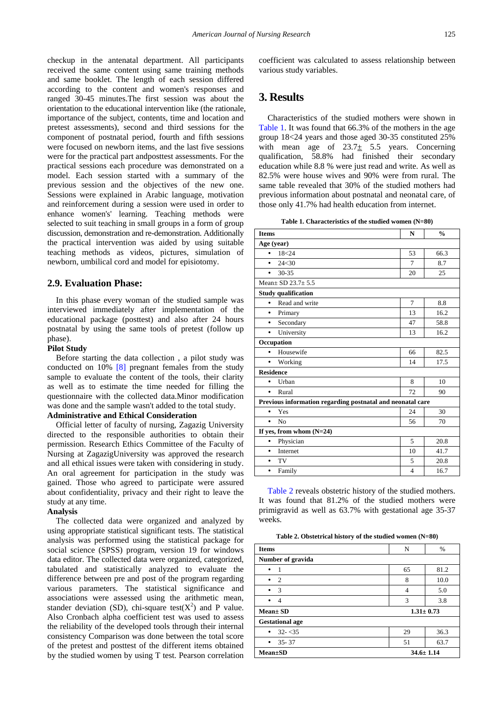checkup in the antenatal department. All participants received the same content using same training methods and same booklet. The length of each session differed according to the content and women's responses and ranged 30-45 minutes.The first session was about the orientation to the educational intervention like (the rationale, importance of the subject, contents, time and location and pretest assessments), second and third sessions for the component of postnatal period, fourth and fifth sessions were focused on newborn items, and the last five sessions were for the practical part andposttest assessments. For the practical sessions each procedure was demonstrated on a model. Each session started with a summary of the previous session and the objectives of the new one. Sessions were explained in Arabic language, motivation and reinforcement during a session were used in order to enhance women's' learning. Teaching methods were selected to suit teaching in small groups in a form of group discussion, demonstration and re-demonstration. Additionally the practical intervention was aided by using suitable teaching methods as videos, pictures, simulation of newborn, umbilical cord and model for episiotomy.

#### **2.9. Evaluation Phase:**

In this phase every woman of the studied sample was interviewed immediately after implementation of the educational package (posttest) and also after 24 hours postnatal by using the same tools of pretest (follow up phase).

#### **Pilot Study**

Before starting the data collection , a pilot study was conducted on 10% [\[8\]](#page-7-6) pregnant females from the study sample to evaluate the content of the tools, their clarity as well as to estimate the time needed for filling the questionnaire with the collected data.Minor modification was done and the sample wasn't added to the total study.

# **Administrative and Ethical Consideration**

Official letter of faculty of nursing, Zagazig University directed to the responsible authorities to obtain their permission. Research Ethics Committee of the Faculty of Nursing at ZagazigUniversity was approved the research and all ethical issues were taken with considering in study. An oral agreement for participation in the study was gained. Those who agreed to participate were assured about confidentiality, privacy and their right to leave the study at any time.

#### **Analysis**

The collected data were organized and analyzed by using appropriate statistical significant tests. The statistical analysis was performed using the statistical package for social science (SPSS) program, version 19 for windows data editor. The collected data were organized, categorized, tabulated and statistically analyzed to evaluate the difference between pre and post of the program regarding various parameters. The statistical significance and associations were assessed using the arithmetic mean, stander deviation (SD), chi-square test( $X^2$ ) and P value. Also Cronbach alpha coefficient test was used to assess the reliability of the developed tools through their internal consistency Comparison was done between the total score of the pretest and posttest of the different items obtained by the studied women by using T test. Pearson correlation coefficient was calculated to assess relationship between various study variables.

# **3. Results**

Characteristics of the studied mothers were shown in [Table 1.](#page-3-0) It was found that 66.3% of the mothers in the age group 18<24 years and those aged 30-35 constituted 25% with mean age of  $23.7 \pm 5.5$  years. Concerning qualification, 58.8% had finished their secondary education while 8.8 % were just read and write. As well as 82.5% were house wives and 90% were from rural. The same table revealed that 30% of the studied mothers had previous information about postnatal and neonatal care, of those only 41.7% had health education from internet.

**Table 1. Characteristics of the studied women (N=80)**

<span id="page-3-0"></span>

| <b>Items</b>                                               | N              | $\frac{0}{0}$ |  |  |  |
|------------------------------------------------------------|----------------|---------------|--|--|--|
| Age (year)                                                 |                |               |  |  |  |
| 18<24<br>$\bullet$                                         | 53             | 66.3          |  |  |  |
| 24<30<br>$\bullet$                                         | 7              | 8.7           |  |  |  |
| 30-35<br>$\bullet$                                         | 20             | 25            |  |  |  |
| Mean + SD $23.7 + 5.5$                                     |                |               |  |  |  |
| <b>Study qualification</b>                                 |                |               |  |  |  |
| Read and write<br>$\bullet$                                | 7              | 8.8           |  |  |  |
| Primary<br>٠                                               | 13             | 16.2          |  |  |  |
| Secondary<br>٠                                             | 47             | 58.8          |  |  |  |
| University<br>$\bullet$                                    | 13             | 16.2          |  |  |  |
| Occupation                                                 |                |               |  |  |  |
| Housewife<br>$\bullet$                                     | 66             | 82.5          |  |  |  |
| Working<br>٠                                               | 14             | 17.5          |  |  |  |
| <b>Residence</b>                                           |                |               |  |  |  |
| Urban<br>٠                                                 | 8              | 10            |  |  |  |
| Rural<br>$\bullet$                                         | 72             | 90            |  |  |  |
| Previous information regarding postnatal and neonatal care |                |               |  |  |  |
| Yes<br>٠                                                   | 24             | 30            |  |  |  |
| No<br>$\bullet$                                            | 56             | 70            |  |  |  |
| If yes, from whom $(N=24)$                                 |                |               |  |  |  |
| Physician<br>٠                                             | 5              | 20.8          |  |  |  |
| Internet<br>$\bullet$                                      | 10             | 41.7          |  |  |  |
| TV<br>٠                                                    | 5              | 20.8          |  |  |  |
| Family<br>٠                                                | $\overline{4}$ | 16.7          |  |  |  |

[Table 2](#page-3-1) reveals obstetric history of the studied mothers. It was found that 81.2% of the studied mothers were primigravid as well as 63.7% with gestational age 35-37 weeks.

**Table 2. Obstetrical history of the studied women (N=80)**

<span id="page-3-1"></span>

| <b>Items</b>                 | N               | $\frac{0}{0}$ |  |
|------------------------------|-----------------|---------------|--|
| Number of gravida            |                 |               |  |
| $\overline{\phantom{0}}$     | 65              | 81.2          |  |
| $\overline{2}$               | 8               | 10.0          |  |
| $\overline{\mathbf{3}}$<br>٠ | 4               | 5.0           |  |
| $\overline{4}$<br>$\bullet$  | 3               | 3.8           |  |
| $Mean \pm SD$                | $1.31 \pm 0.73$ |               |  |
| <b>Gestational age</b>       |                 |               |  |
| $32 - 35$<br>$\bullet$       | 29              | 36.3          |  |
| $35 - 37$<br>٠               | 51              | 63.7          |  |
| <b>Mean±SD</b>               | $34.6 \pm 1.14$ |               |  |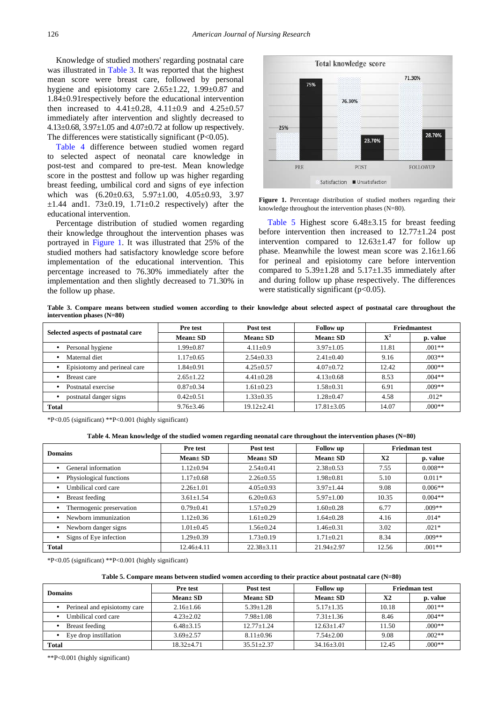Knowledge of studied mothers' regarding postnatal care was illustrated in [Table 3.](#page-4-0) It was reported that the highest mean score were breast care, followed by personal hygiene and episiotomy care  $2.65 \pm 1.22$ ,  $1.99 \pm 0.87$  and 1.84±0.91respectively before the educational intervention then increased to  $4.41 \pm 0.28$ ,  $4.11 \pm 0.9$  and  $4.25 \pm 0.57$ immediately after intervention and slightly decreased to 4.13±0.68, 3.97±1.05 and 4.07±0.72 at follow up respectively. The differences were statistically significant (P<0.05).

[Table 4](#page-4-1) difference between studied women regard to selected aspect of neonatal care knowledge in post-test and compared to pre-test. Mean knowledge score in the posttest and follow up was higher regarding breast feeding, umbilical cord and signs of eye infection which was (6.20±0.63, 5.97±1.00, 4.05±0.93, 3.97  $\pm 1.44$  and 1. 73 $\pm 0.19$ , 1.71 $\pm 0.2$  respectively) after the educational intervention.

Percentage distribution of studied women regarding their knowledge throughout the intervention phases was portrayed in [Figure 1.](#page-4-2) It was illustrated that 25% of the studied mothers had satisfactory knowledge score before implementation of the educational intervention. This percentage increased to 76.30% immediately after the implementation and then slightly decreased to 71.30% in the follow up phase.

<span id="page-4-2"></span>

**Figure 1.** Percentage distribution of studied mothers regarding their knowledge throughout the intervention phases (N=80).

[Table 5](#page-4-3) Highest score 6.48±3.15 for breast feeding before intervention then increased to 12.77±1.24 post intervention compared to  $12.63 \pm 1.47$  for follow up phase. Meanwhile the lowest mean score was 2.16±1.66 for perineal and episiotomy care before intervention compared to  $5.39 \pm 1.28$  and  $5.17 \pm 1.35$  immediately after and during follow up phase respectively. The differences were statistically significant  $(p<0.05)$ .

**Table 3. Compare means between studied women according to their knowledge about selected aspect of postnatal care throughout the intervention phases (N=80)**

<span id="page-4-0"></span>

| Selected aspects of postnatal care | Pre test        | Post test        | Follow up        |             | <b>Friedmantest</b> |
|------------------------------------|-----------------|------------------|------------------|-------------|---------------------|
|                                    | $Mean \pm SD$   | $Mean \pm SD$    | $Mean \pm SD$    | ${\bf X}^2$ | p. value            |
| Personal hygiene                   | $1.99 \pm 0.87$ | $4.11 \pm 0.9$   | $3.97 \pm 1.05$  | 11.81       | $.001**$            |
| Maternal diet                      | $1.17 \pm 0.65$ | $2.54 \pm 0.33$  | $2.41 \pm 0.40$  | 9.16        | $.003**$            |
| Episiotomy and perineal care       | $1.84 \pm 0.91$ | $4.25 \pm 0.57$  | $4.07 \pm 0.72$  | 12.42       | $.000**$            |
| Breast care                        | $2.65 \pm 1.22$ | $4.41 + 0.28$    | $4.13 \pm 0.68$  | 8.53        | $.004**$            |
| Postnatal exercise                 | $0.87 + 0.34$   | $1.61 + 0.23$    | $1.58 \pm 0.31$  | 6.91        | $.009**$            |
| postnatal danger signs             | $0.42 \pm 0.51$ | $1.33 \pm 0.35$  | $1.28 \pm 0.47$  | 4.58        | $.012*$             |
| Total                              | $9.76 \pm 3.46$ | $19.12 \pm 2.41$ | $17.81 \pm 3.05$ | 14.07       | $.000**$            |

\*P<0.05 (significant) \*\*P<0.001 (highly significant)

**Table 4. Mean knowledge of the studied women regarding neonatal care throughout the intervention phases (N=80)**

<span id="page-4-1"></span>

| <b>Domains</b>           | Pre test         | Post test        | Follow up        |       | Friedman test |
|--------------------------|------------------|------------------|------------------|-------|---------------|
|                          | $Mean \pm SD$    | $Mean \pm SD$    | $Mean \pm SD$    | X2    | p. value      |
| General information      | $1.12 \pm 0.94$  | $2.54 \pm 0.41$  | $2.38 \pm 0.53$  | 7.55  | $0.008**$     |
| Physiological functions  | $1.17 \pm 0.68$  | $2.26 \pm 0.55$  | $1.98 \pm 0.81$  | 5.10  | $0.011*$      |
| Umbilical cord care      | $2.26 \pm 1.01$  | $4.05 \pm 0.93$  | $3.97 \pm 1.44$  | 9.08  | $0.006**$     |
| Breast feeding           | $3.61 \pm 1.54$  | $6.20 \pm 0.63$  | $5.97 \pm 1.00$  | 10.35 | $0.004**$     |
| Thermogenic preservation | $0.79 \pm 0.41$  | $1.57 \pm 0.29$  | $1.60 \pm 0.28$  | 6.77  | $.009**$      |
| Newborn immunization     | $1.12 \pm 0.36$  | $1.61 \pm 0.29$  | $1.64 \pm 0.28$  | 4.16  | $.014*$       |
| Newborn danger signs     | $1.01 \pm 0.45$  | $1.56 + 0.24$    | $1.46 \pm 0.31$  | 3.02  | $.021*$       |
| Signs of Eye infection   | $1.29 \pm 0.39$  | $1.73 \pm 0.19$  | $1.71 \pm 0.21$  | 8.34  | $.009**$      |
| Total                    | $12.46{\pm}4.11$ | $22.38 \pm 3.11$ | $21.94 \pm 2.97$ | 12.56 | $.001**$      |

\*P<0.05 (significant) \*\*P<0.001 (highly significant)

#### **Table 5. Compare means between studied women according to their practice about postnatal care (N=80)**

<span id="page-4-3"></span>

| <b>Domains</b>               | Pre test        | Post test        | <b>Follow</b> up |               | <b>Friedman</b> test |
|------------------------------|-----------------|------------------|------------------|---------------|----------------------|
|                              | $Mean \pm SD$   | $Mean \pm SD$    | $Mean \pm SD$    | $\mathbf{X}2$ | p. value             |
| Perineal and episiotomy care | $2.16 \pm 1.66$ | $5.39 \pm 1.28$  | $5.17 + 1.35$    | 10.18         | $.001**$             |
| Umbilical cord care          | $4.23 + 2.02$   | $7.98 + 1.08$    | $7.31 + 1.36$    | 8.46          | $.004**$             |
| Breast feeding               | $6.48 + 3.15$   | $12.77 + 1.24$   | $12.63 + 1.47$   | 11.50         | $.000**$             |
| Eye drop instillation        | $3.69 + 2.57$   | $8.11 + 0.96$    | $7.54 + 2.00$    | 9.08          | $.002**$             |
| <b>Total</b>                 | $18.32 + 4.71$  | $35.51 \pm 2.37$ | $34.16 \pm 3.01$ | 12.45         | $.000**$             |

\*\*P<0.001 (highly significant)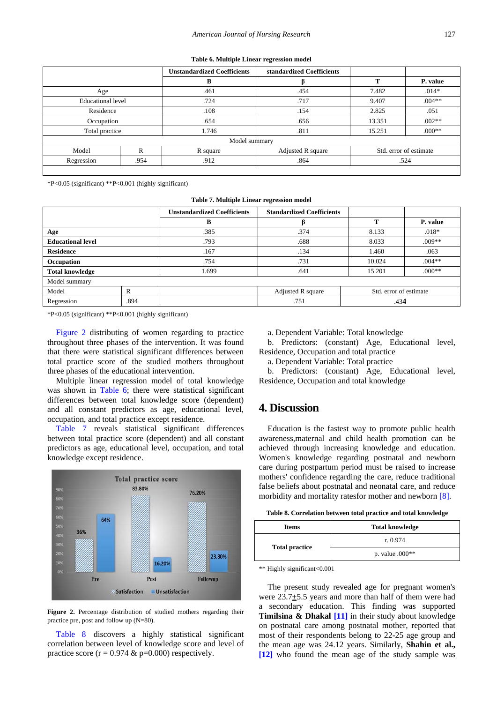|  |  |  | Table 6. Multiple Linear regression model |  |
|--|--|--|-------------------------------------------|--|
|--|--|--|-------------------------------------------|--|

<span id="page-5-1"></span>

|                          |               | <b>Unstandardized Coefficients</b> | standardized Coefficients |                        |          |  |
|--------------------------|---------------|------------------------------------|---------------------------|------------------------|----------|--|
|                          |               | B                                  |                           | m                      | P. value |  |
| Age                      |               | .461                               | .454                      | 7.482                  | $.014*$  |  |
| <b>Educational level</b> |               | .724                               | .717                      | 9.407                  | $.004**$ |  |
| Residence                |               | .108                               | .154                      | 2.825<br>.051          |          |  |
| Occupation               |               | .654                               | .656                      | $.002**$<br>13.351     |          |  |
| Total practice           |               | 1.746                              | .811                      | $.000**$<br>15.251     |          |  |
|                          | Model summary |                                    |                           |                        |          |  |
| Model                    | R             | R square                           | Adjusted R square         | Std. error of estimate |          |  |
| Regression               | .954          | .912                               | .864                      | .524                   |          |  |
|                          |               |                                    |                           |                        |          |  |

\*P<0.05 (significant) \*\*P<0.001 (highly significant)

**Table 7. Multiple Linear regression model**

<span id="page-5-2"></span>

|                          |      | <b>Unstandardized Coefficients</b> | <b>Standardized Coefficients</b> |                        |          |
|--------------------------|------|------------------------------------|----------------------------------|------------------------|----------|
|                          |      | B                                  |                                  |                        | P. value |
| Age                      |      | .385                               | .374                             | 8.133                  | $.018*$  |
| <b>Educational level</b> |      | .793                               | .688                             | 8.033                  | $.009**$ |
| <b>Residence</b>         |      | .167                               | .134                             | 1.460                  | .063     |
| Occupation               |      | .754                               | .731                             | 10.024                 | $.004**$ |
| <b>Total knowledge</b>   |      | 1.699                              | .641                             | 15.201                 | $.000**$ |
| Model summary            |      |                                    |                                  |                        |          |
| Model                    | R    |                                    | Adjusted R square                | Std. error of estimate |          |
| Regression               | .894 |                                    | .751                             | .434                   |          |

\*P<0.05 (significant) \*\*P<0.001 (highly significant)

[Figure 2](#page-5-0) distributing of women regarding to practice throughout three phases of the intervention. It was found that there were statistical significant differences between total practice score of the studied mothers throughout three phases of the educational intervention.

Multiple linear regression model of total knowledge was shown in [Table 6;](#page-5-1) there were statistical significant differences between total knowledge score (dependent) and all constant predictors as age, educational level, occupation, and total practice except residence.

[Table 7](#page-5-2) reveals statistical significant differences between total practice score (dependent) and all constant predictors as age, educational level, occupation, and total knowledge except residence.

<span id="page-5-0"></span>

**Figure 2.** Percentage distribution of studied mothers regarding their practice pre, post and follow up (N=80).

[Table 8](#page-5-3) discovers a highly statistical significant correlation between level of knowledge score and level of practice score ( $r = 0.974 \& p=0.000$ ) respectively.

a. Dependent Variable: Total knowledge

b. Predictors: (constant) Age, Educational level, Residence, Occupation and total practice

a. Dependent Variable: Total practice

b. Predictors: (constant) Age, Educational level, Residence, Occupation and total knowledge

# **4. Discussion**

Education is the fastest way to promote public health awareness,maternal and child health promotion can be achieved through increasing knowledge and education. Women's knowledge regarding postnatal and newborn care during postpartum period must be raised to increase mothers' confidence regarding the care, reduce traditional false beliefs about postnatal and neonatal care, and reduce morbidity and mortality ratesfor mother and newborn [\[8\].](#page-7-6)

**Table 8. Correlation between total practice and total knowledge**

<span id="page-5-3"></span>

| <b>Items</b>          | <b>Total knowledge</b> |
|-----------------------|------------------------|
|                       | r. 0.974               |
| <b>Total practice</b> | p. value $.000**$      |

\*\* Highly significant<0.001

The present study revealed age for pregnant women's were  $23.7 \pm 5.5$  years and more than half of them were had a secondary education. This finding was supported **Timilsina & Dhakal [\[11\]](#page-7-8)** in their study about knowledge on postnatal care among postnatal mother, reported that most of their respondents belong to 22-25 age group and the mean age was 24.12 years. Similarly, **Shahin et al., [\[12\]](#page-7-9)** who found the mean age of the study sample was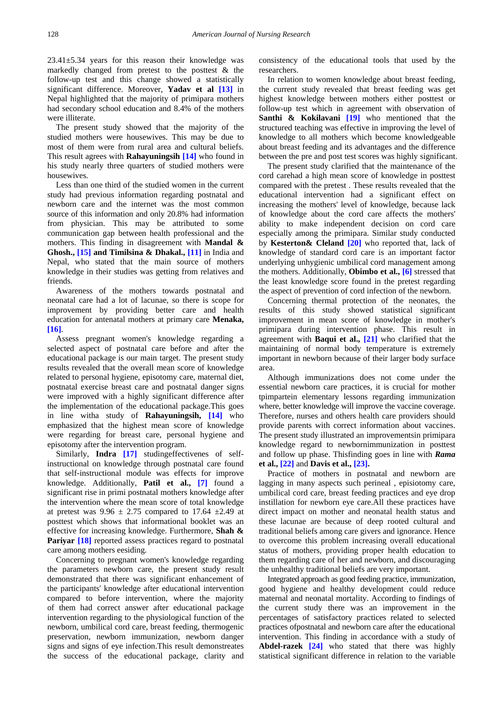23.41±5.34 years for this reason their knowledge was markedly changed from pretest to the posttest & the follow-up test and this change showed a statistically significant difference. Moreover, **Yadav et al [\[13\]](#page-7-10)** in Nepal highlighted that the majority of primipara mothers had secondary school education and 8.4% of the mothers were illiterate.

The present study showed that the majority of the studied mothers were housewives. This may be due to most of them were from rural area and cultural beliefs. This result agrees with **Rahayuningsih [\[14\]](#page-8-0)** who found in his study nearly three quarters of studied mothers were housewives.

Less than one third of the studied women in the current study had previous information regarding postnatal and newborn care and the internet was the most common source of this information and only 20.8% had information from physician. This may be attributed to some communication gap between health professional and the mothers. This finding in disagreement with **Mandal & Ghosh., [\[15\]](#page-8-1) and Timilsina & Dhakal., [\[11\]](#page-7-8)** in India and Nepal, who stated that the main source of mothers knowledge in their studies was getting from relatives and friends.

Awareness of the mothers towards postnatal and neonatal care had a lot of lacunae, so there is scope for improvement by providing better care and health education for antenatal mothers at primary care **Menaka, [\[16\]](#page-8-2)**.

Assess pregnant women's knowledge regarding a selected aspect of postnatal care before and after the educational package is our main target. The present study results revealed that the overall mean score of knowledge related to personal hygiene, episotomy care, maternal diet, postnatal exercise breast care and postnatal danger signs were improved with a highly significant difference after the implementation of the educational package.This goes in line witha study of **Rahayuningsih, [\[14\]](#page-8-0)** who emphasized that the highest mean score of knowledge were regarding for breast care, personal hygiene and episotomy after the intervention program.

Similarly, **Indra [\[17\]](#page-8-3)** studingeffectivenes of selfinstructional on knowledge through postnatal care found that self-instructional module was effects for improve knowledge. Additionally, **Patil et al., [\[7\]](#page-7-5)** found a significant rise in primi postnatal mothers knowledge after the intervention where the mean score of total knowledge at pretest was  $9.96 \pm 2.75$  compared to 17.64  $\pm 2.49$  at posttest which shows that informational booklet was an effective for increasing knowledge. Furthermore, **Shah & Pariyar** [\[18\]](#page-8-4) reported assess practices regard to postnatal care among mothers eesiding.

Concerning to pregnant women's knowledge regarding the parameters newborn care, the present study result demonstrated that there was significant enhancement of the participants' knowledge after educational intervention compared to before intervention, where the majority of them had correct answer after educational package intervention regarding to the physiological function of the newborn, umbilical cord care, breast feeding, thermogenic preservation, newborn immunization, newborn danger signs and signs of eye infection.This result demonstreates the success of the educational package, clarity and consistency of the educational tools that used by the researchers.

In relation to women knowledge about breast feeding, the current study revealed that breast feeding was get highest knowledge between mothers either posttest or follow-up test which in agreement with observation of **Santhi & Kokilavani [\[19\]](#page-8-5)** who mentioned that the structured teaching was effective in improving the level of knowledge to all mothers which become knowledgeable about breast feeding and its advantages and the difference between the pre and post test scores was highly significant.

The present study clarified that the maintenance of the cord carehad a high mean score of knowledge in posttest compared with the pretest . These results revealed that the educational intervention had a significant effect on increasing the mothers' level of knowledge, because lack of knowledge about the cord care affects the mothers' ability to make independent decision on cord care especially among the primipara. Similar study conducted by **Kesterton& Cleland [\[20\]](#page-8-6)** who reported that, lack of knowledge of standard cord care is an important factor underlying unhygienic umbilical cord management among the mothers. Additionally, **Obimbo et al., [\[6\]](#page-7-4)** stressed that the least knowledge score found in the pretest regarding the aspect of prevention of cord infection of the newborn.

Concerning thermal protection of the neonates, the results of this study showed statistical significant improvement in mean score of knowledge in mother's primipara during intervention phase. This result in agreement with **Baqui et al., [\[21\]](#page-8-7)** who clarified that the maintaining of normal body temperature is extremely important in newborn because of their larger body surface area.

Although immunizations does not come under the essential newborn care practices, it is crucial for mother tpimpartein elementary lessons regarding immunization where, better knowledge will improve the vaccine coverage. Therefore, nurses and others health care providers should provide parents with correct information about vaccines. The present study illustrated an improvementsin primipara knowledge regard to newbornimmunization in posttest and follow up phase. Thisfinding goes in line with *Rama* **et al.[, \[22\]](#page-8-8)** and **Davis et al., [\[23\].](#page-8-9)**

Practice of mothers in postnatal and newborn are lagging in many aspects such perineal , episiotomy care, umbilical cord care, breast feeding practices and eye drop instillation for newborn eye care.All these practices have direct impact on mother and neonatal health status and these lacunae are because of deep rooted cultural and traditional beliefs among care givers and ignorance. Hence to overcome this problem increasing overall educational status of mothers, providing proper health education to them regarding care of her and newborn, and discouraging the unhealthy traditional beliefs are very important.

Integrated approach as good feeding practice, immunization, good hygiene and healthy development could reduce maternal and neonatal mortality. According to findings of the current study there was an improvement in the percentages of satisfactory practices related to selected practices ofpostnatal and newborn care after the educational intervention. This finding in accordance with a study of **Abdel-razek [\[24\]](#page-8-10)** who stated that there was highly statistical significant difference in relation to the variable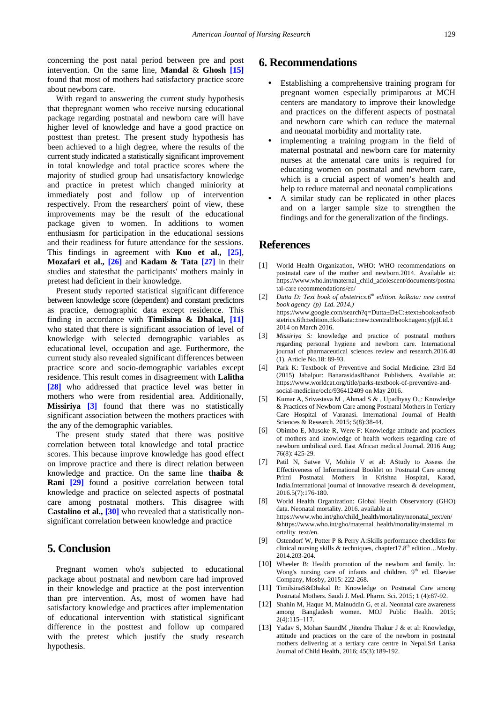concerning the post natal period between pre and post intervention. On the same line, **Mandal** & **Ghosh [\[15\]](#page-8-1)** found that most of mothers had satisfactory practice score about newborn care.

With regard to answering the current study hypothesis that thepregnant women who receive nursing educational package regarding postnatal and newborn care will have higher level of knowledge and have a good practice on posttest than pretest. The present study hypothesis has been achieved to a high degree, where the results of the current study indicated a statistically significant improvement in total knowledge and total practice scores where the majority of studied group had unsatisfactory knowledge and practice in pretest which changed miniority at immediately post and follow up of intervention respectively. From the researchers' point of view, these improvements may be the result of the educational package given to women. In additions to women enthusiasm for participation in the educational sessions and their readiness for future attendance for the sessions. This findings in agreement with **Kuo et al., [\[25\]](#page-8-11)**, **Mozafari et al., [\[26\]](#page-8-12)** and **Kadam & Tata [\[27\]](#page-8-13)** in their studies and statesthat the participants' mothers mainly in pretest had deficient in their knowledge.

Present study reported statistical significant difference between knowledge score (dependent) and constant predictors as practice, demographic data except residence. This finding in accordance with **Timilsina & Dhakal, [\[11\]](#page-7-8)** who stated that there is significant association of level of knowledge with selected demographic variables as educational level, occupation and age. Furthermore, the current study also revealed significant differences between practice score and socio-demographic variables except residence. This result comes in disagreement with **Lalitha [\[28\]](#page-8-14)** who addressed that practice level was better in mothers who were from residential area. Additionally, **Missiriya [\[3\]](#page-7-2)** found that there was no statistically significant association between the mothers practices with the any of the demographic variables.

The present study stated that there was positive correlation between total knowledge and total practice scores. This because improve knowledge has good effect on improve practice and there is direct relation between knowledge and practice. On the same line **thaiba & Rani [\[29\]](#page-8-15)** found a positive correlation between total knowledge and practice on selected aspects of postnatal care among postnatal mothers. This disagree with **Castalino et al., [\[30\]](#page-8-16)** who revealed that a statistically nonsignificant correlation between knowledge and practice

# **5. Conclusion**

Pregnant women who's subjected to educational package about postnatal and newborn care had improved in their knowledge and practice at the post intervention than pre intervention. As, most of women have had satisfactory knowledge and practices after implementation of educational intervention with statistical significant difference in the posttest and follow up compared with the pretest which justify the study research hypothesis.

# **6. Recommendations**

- Establishing a comprehensive training program for pregnant women especially primiparous at MCH centers are mandatory to improve their knowledge and practices on the different aspects of postnatal and newborn care which can reduce the maternal and neonatal morbidity and mortality rate.
- implementing a training program in the field of maternal postnatal and newborn care for maternity nurses at the antenatal care units is required for educating women on postnatal and newborn care, which is a crucial aspect of women's health and help to reduce maternal and neonatal complications
- A similar study can be replicated in other places and on a larger sample size to strengthen the findings and for the generalization of the findings.

# **References**

- <span id="page-7-0"></span>[1] World Health Organization, WHO: WHO recommendations on postnatal care of the mother and newborn.2014. Available at: https://www.who.int/maternal\_child\_adolescent/documents/postna tal-care recommendations/en/
- <span id="page-7-1"></span>[2] *Dutta D: Text book of obstetrics.6th edition. kolkata: new central book agency (p) Ltd. 2014.)* https://www.google.com/search?q=Dutta±D±C:±text±book±of±ob stetrics.6th±edition.±kolkata:±new±central±book±agency(p)Ltd.± 2014 on March 2016.
- <span id="page-7-2"></span>[3] *Missiriya S:* knowledge and practice of postnatal mothers regarding personal hygiene and newborn care. International journal of pharmaceutical sciences review and research.2016.40  $(1)$ . Article No. 18: 89-93.
- <span id="page-7-3"></span>[4] Park K: Textbook of Preventive and Social Medicine. 23rd Ed (2015) Jabalpur: BanarasidasBhanot Publishers. Available at: https://www.worldcat.org/title/parks-textbook-of-preventive-andsocial-medicine/oclc/936412409 on May 2016.
- [5] Kumar A, Srivastava M , Ahmad S & , Upadhyay O.,: Knowledge & Practices of Newborn Care among Postnatal Mothers in Tertiary Care Hospital of Varanasi. International Journal of Health Sciences & Research. 2015; 5(8):38-44.
- <span id="page-7-4"></span>[6] Obimbo E, Musoke R, Were F: Knowledge attitude and practices of mothers and knowledge of health workers regarding care of newborn umbilical cord. East African medical Journal. 2016 Aug; 76(8): 425-29.
- <span id="page-7-5"></span>[7] Patil N, Satwe V, Mohite V et al: AStudy to Assess the Effectiveness of Informational Booklet on Postnatal Care among Primi Postnatal Mothers in Krishna Hospital, Karad, India.International journal of innovative research & development, 2016.5(7):176-180.
- <span id="page-7-6"></span>[8] World Health Organization: Global Health Observatory (GHO) data. Neonatal mortality. 2016. available at https://www.who.int/gho/child\_health/mortality/neonatal\_text/en/ &https://www.who.int/gho/maternal\_health/mortality/maternal\_m ortality\_text/en.
- <span id="page-7-7"></span>[9] Ostendorf W, Potter P & Perry A:Skills performance checklists for clinical nursing skills & techniques, chapter17.8<sup>th</sup> edition...Mosby. 2014.203-204.
- [10] Wheeler B: Health promotion of the newborn and family. In: Wong's nursing care of infants and children.  $9<sup>th</sup>$  ed. Elsevier Company, Mosby, 2015: 222-268.
- <span id="page-7-8"></span>[11] TimilsinaS&Dhakal R: Knowledge on Postnatal Care among Postnatal Mothers. Saudi J. Med. Pharm. Sci. 2015; 1 (4):87-92.
- <span id="page-7-9"></span>[12] Shahin M, Haque M, Mainuddin G, et al. Neonatal care awareness among Bangladesh women. MOJ Public Health. 2015;  $2(4):115-117$
- <span id="page-7-10"></span>[13] Yadav S, Mohan SaundM ,Jitendra Thakur J & et al: Knowledge, attitude and practices on the care of the newborn in postnatal mothers delivering at a tertiary care centre in Nepal.Sri Lanka Journal of Child Health, 2016; 45(3):189-192.